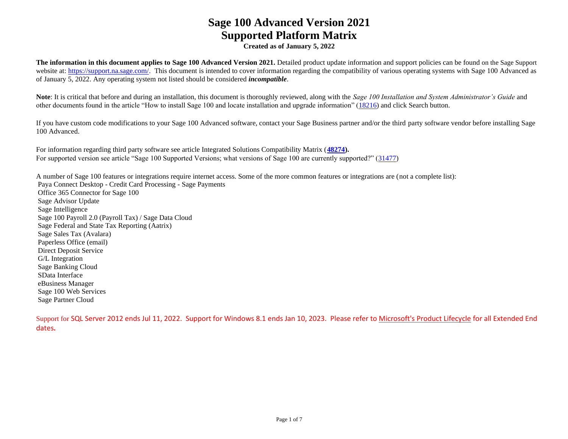**Created as of January 5, 2022**

**The information in this document applies to Sage 100 Advanced Version 2021.** Detailed product update information and support policies can be found on the Sage Support website at: [https://support.na.sage.com/.](https://support.na.sage.com/) This document is intended to cover information regarding the compatibility of various operating systems with Sage 100 Advanced as of January 5, 2022. Any operating system not listed should be considered *incompatible*.

Note: It is critical that before and during an installation, this document is thoroughly reviewed, along with the *Sage 100 Installation and System Administrator's Guide* and other documents found in the article "How to install Sage 100 and locate installation and upgrade information" [\(18216\)](https://support.na.sage.com/selfservice/viewdocument.do?noCount=true&externalId=18216&sliceId=1&cmd=displayKC&dialogID=113151&docType=kc&noCount=true&isLoadPublishedVer=&stateId=113158&docTypeID=DT_Article&ViewedDocsListHelper=com.kanisa.apps.common.BaseViewedDocsListHelperImpl) and click Search button.

If you have custom code modifications to your Sage 100 Advanced software, contact your Sage Business partner and/or the third party software vendor before installing Sage 100 Advanced.

For information regarding third party software see article Integrated Solutions Compatibility Matrix (**[48274\)](https://support.na.sage.com/selfservice/viewdocument.do?noCount=true&externalId=48274&sliceId=1&dialogID=113151&cmd=displayKC&docType=kc&noCount=true&stateId=113158&isLoadPublishedVer=&docTypeID=DT_Article&ViewedDocsListHelper=com.kanisa.apps.common.BaseViewedDocsListHelperImpl).** For supported version see article "Sage 100 Supported Versions; what versions of Sage 100 are currently supported?" [\(31477\)](https://support.na.sage.com/selfservice/viewdocument.do?noCount=true&externalId=31477&sliceId=1&cmd=displayKC&dialogID=113151&docType=kc&noCount=true&isLoadPublishedVer=&stateId=113158&docTypeID=DT_Article&ViewedDocsListHelper=com.kanisa.apps.common.BaseViewedDocsListHelperImpl)

A number of Sage 100 features or integrations require internet access. Some of the more common features or integrations are (not a complete list): Paya Connect Desktop - Credit Card Processing - Sage Payments Office 365 Connector for Sage 100 Sage Advisor Update Sage Intelligence Sage 100 Payroll 2.0 (Payroll Tax) / Sage Data Cloud Sage Federal and State Tax Reporting (Aatrix) Sage Sales Tax (Avalara) Paperless Office (email) Direct Deposit Service G/L Integration Sage Banking Cloud SData Interface eBusiness Manager Sage 100 Web Services Sage Partner Cloud

Support for SQL Server 2012 ends Jul 11, 2022. Support for Windows 8.1 ends Jan 10, 2023. Please refer to [Microsoft's Product Lifecycle](https://docs.microsoft.com/en-us/lifecycle/) for all Extended End dates**.**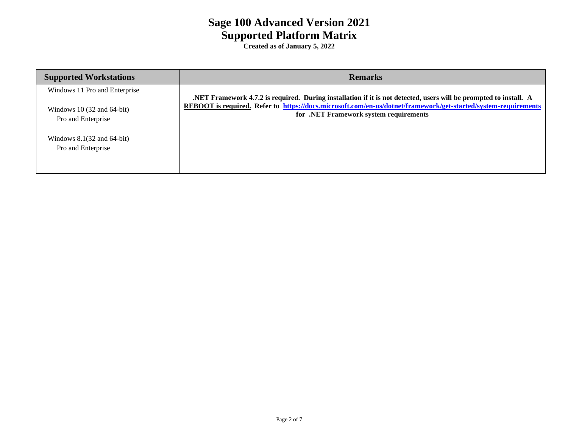| <b>Supported Workstations</b>                                | <b>Remarks</b>                                                                                                                                           |
|--------------------------------------------------------------|----------------------------------------------------------------------------------------------------------------------------------------------------------|
| Windows 11 Pro and Enterprise                                | .NET Framework 4.7.2 is required. During installation if it is not detected, users will be prompted to install. A                                        |
| Windows 10 $(32 \text{ and } 64$ -bit)<br>Pro and Enterprise | REBOOT is required. Refer to https://docs.microsoft.com/en-us/dotnet/framework/get-started/system-requirements<br>for .NET Framework system requirements |
| Windows $8.1(32$ and $64$ -bit)<br>Pro and Enterprise        |                                                                                                                                                          |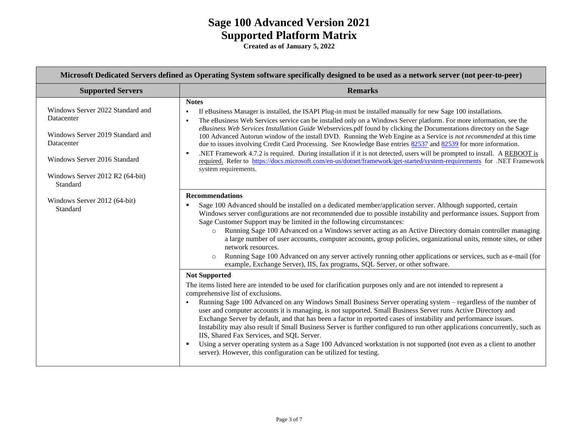| Microsoft Dedicated Servers defined as Operating System software specifically designed to be used as a network server (not peer-to-peer)                                        |                                                                                                                                                                                                                                                                                                                                                                                                                                                                                                                                                                                                                                                                                                                                                                                                                                                                                                                                                                                                                                                                                                                                                                                                                                                                                                                                                                                                                                                                                                                                                                                                                                                                                                                             |  |  |  |
|---------------------------------------------------------------------------------------------------------------------------------------------------------------------------------|-----------------------------------------------------------------------------------------------------------------------------------------------------------------------------------------------------------------------------------------------------------------------------------------------------------------------------------------------------------------------------------------------------------------------------------------------------------------------------------------------------------------------------------------------------------------------------------------------------------------------------------------------------------------------------------------------------------------------------------------------------------------------------------------------------------------------------------------------------------------------------------------------------------------------------------------------------------------------------------------------------------------------------------------------------------------------------------------------------------------------------------------------------------------------------------------------------------------------------------------------------------------------------------------------------------------------------------------------------------------------------------------------------------------------------------------------------------------------------------------------------------------------------------------------------------------------------------------------------------------------------------------------------------------------------------------------------------------------------|--|--|--|
| <b>Supported Servers</b>                                                                                                                                                        | <b>Remarks</b>                                                                                                                                                                                                                                                                                                                                                                                                                                                                                                                                                                                                                                                                                                                                                                                                                                                                                                                                                                                                                                                                                                                                                                                                                                                                                                                                                                                                                                                                                                                                                                                                                                                                                                              |  |  |  |
| Windows Server 2022 Standard and<br>Datacenter<br>Windows Server 2019 Standard and<br>Datacenter<br>Windows Server 2016 Standard<br>Windows Server 2012 R2 (64-bit)<br>Standard | <b>Notes</b><br>If eBusiness Manager is installed, the ISAPI Plug-in must be installed manually for new Sage 100 installations.<br>۰.<br>The eBusiness Web Services service can be installed only on a Windows Server platform. For more information, see the<br>$\blacksquare$<br>eBusiness Web Services Installation Guide Webservices.pdf found by clicking the Documentations directory on the Sage<br>100 Advanced Autorun window of the install DVD. Running the Web Engine as a Service is not recommended at this time<br>due to issues involving Credit Card Processing. See Knowledge Base entries 82537 and 82539 for more information.<br>.NET Framework 4.7.2 is required. During installation if it is not detected, users will be prompted to install. A REBOOT is<br>required. Refer to https://docs.microsoft.com/en-us/dotnet/framework/get-started/system-requirements for .NET Framework<br>system requirements.                                                                                                                                                                                                                                                                                                                                                                                                                                                                                                                                                                                                                                                                                                                                                                                        |  |  |  |
| Windows Server 2012 (64-bit)<br>Standard                                                                                                                                        | <b>Recommendations</b><br>Sage 100 Advanced should be installed on a dedicated member/application server. Although supported, certain<br>Windows server configurations are not recommended due to possible instability and performance issues. Support from<br>Sage Customer Support may be limited in the following circumstances:<br>Running Sage 100 Advanced on a Windows server acting as an Active Directory domain controller managing<br>$\circ$<br>a large number of user accounts, computer accounts, group policies, organizational units, remote sites, or other<br>network resources.<br>Running Sage 100 Advanced on any server actively running other applications or services, such as e-mail (for<br>$\circ$<br>example, Exchange Server), IIS, fax programs, SQL Server, or other software.<br><b>Not Supported</b><br>The items listed here are intended to be used for clarification purposes only and are not intended to represent a<br>comprehensive list of exclusions.<br>Running Sage 100 Advanced on any Windows Small Business Server operating system – regardless of the number of<br>user and computer accounts it is managing, is not supported. Small Business Server runs Active Directory and<br>Exchange Server by default, and that has been a factor in reported cases of instability and performance issues.<br>Instability may also result if Small Business Server is further configured to run other applications concurrently, such as<br>IIS, Shared Fax Services, and SQL Server.<br>Using a server operating system as a Sage 100 Advanced workstation is not supported (not even as a client to another<br>server). However, this configuration can be utilized for testing. |  |  |  |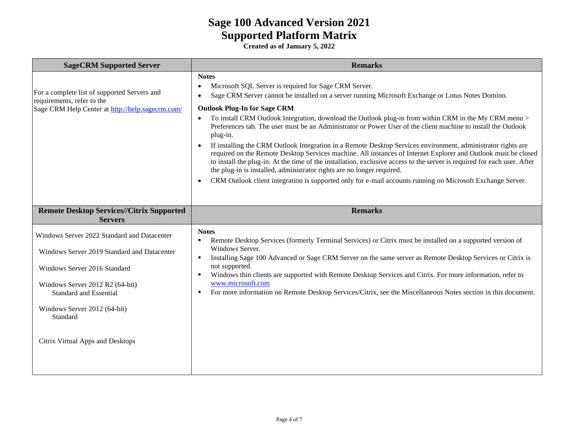| <b>SageCRM Supported Server</b>                                                                                                                                                                                                            | <b>Remarks</b>                                                                                                                                                                                                                                                                                                                                                                                                                                                                                                                                                                                                                                                                                                                                                                                                                                                                                                                                                                                                                                                    |  |  |  |
|--------------------------------------------------------------------------------------------------------------------------------------------------------------------------------------------------------------------------------------------|-------------------------------------------------------------------------------------------------------------------------------------------------------------------------------------------------------------------------------------------------------------------------------------------------------------------------------------------------------------------------------------------------------------------------------------------------------------------------------------------------------------------------------------------------------------------------------------------------------------------------------------------------------------------------------------------------------------------------------------------------------------------------------------------------------------------------------------------------------------------------------------------------------------------------------------------------------------------------------------------------------------------------------------------------------------------|--|--|--|
| For a complete list of supported Servers and<br>requirements, refer to the<br>Sage CRM Help Center at http://help.sagecrm.com/                                                                                                             | <b>Notes</b><br>Microsoft SQL Server is required for Sage CRM Server.<br>$\bullet$<br>Sage CRM Server cannot be installed on a server running Microsoft Exchange or Lotus Notes Domino.<br>$\bullet$<br><b>Outlook Plug-In for Sage CRM</b><br>To install CRM Outlook Integration, download the Outlook plug-in from within CRM in the My CRM menu ><br>Preferences tab. The user must be an Administrator or Power User of the client machine to install the Outlook<br>plug-in.<br>If installing the CRM Outlook Integration in a Remote Desktop Services environment, administrator rights are<br>$\bullet$<br>required on the Remote Desktop Services machine. All instances of Internet Explorer and Outlook must be closed<br>to install the plug-in. At the time of the installation, exclusive access to the server is required for each user. After<br>the plug-in is installed, administrator rights are no longer required.<br>CRM Outlook client integration is supported only for e-mail accounts running on Microsoft Exchange Server.<br>$\bullet$ |  |  |  |
| <b>Remote Desktop Services//Citrix Supported</b><br><b>Servers</b>                                                                                                                                                                         | <b>Remarks</b>                                                                                                                                                                                                                                                                                                                                                                                                                                                                                                                                                                                                                                                                                                                                                                                                                                                                                                                                                                                                                                                    |  |  |  |
| Windows Server 2022 Standard and Datacenter<br>Windows Server 2019 Standard and Datacenter<br>Windows Server 2016 Standard<br>Windows Server 2012 R2 (64-bit)<br><b>Standard and Essential</b><br>Windows Server 2012 (64-bit)<br>Standard | <b>Notes</b><br>Remote Desktop Services (formerly Terminal Services) or Citrix must be installed on a supported version of<br>٠<br>Windows Server.<br>Installing Sage 100 Advanced or Sage CRM Server on the same server as Remote Desktop Services or Citrix is<br>٠<br>not supported.<br>Windows thin clients are supported with Remote Desktop Services and Citrix. For more information, refer to<br>$\blacksquare$<br>www.microsoft.com<br>For more information on Remote Desktop Services/Citrix, see the Miscellaneous Notes section in this document.<br>٠                                                                                                                                                                                                                                                                                                                                                                                                                                                                                                |  |  |  |
| Citrix Virtual Apps and Desktops                                                                                                                                                                                                           |                                                                                                                                                                                                                                                                                                                                                                                                                                                                                                                                                                                                                                                                                                                                                                                                                                                                                                                                                                                                                                                                   |  |  |  |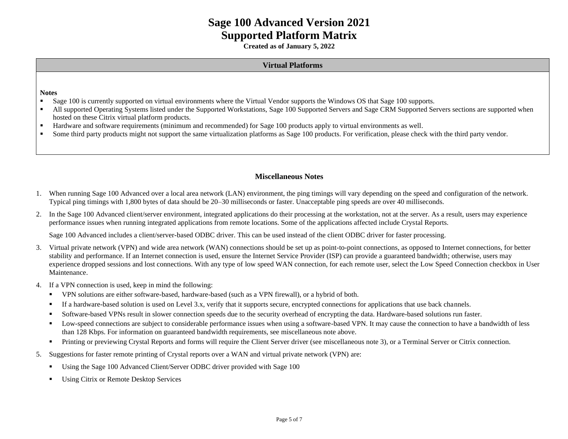**Created as of January 5, 2022**

#### **Virtual Platforms**

**Notes**

- **Example 100** is currently supported on virtual environments where the Virtual Vendor supports the Windows OS that Sage 100 supports.
- All supported Operating Systems listed under the Supported Workstations, Sage 100 Supported Servers and Sage CRM Supported Servers sections are supported when hosted on these Citrix virtual platform products.
- Hardware and software requirements (minimum and recommended) for Sage 100 products apply to virtual environments as well.
- **•** Some third party products might not support the same virtualization platforms as Sage 100 products. For verification, please check with the third party vendor.

#### **Miscellaneous Notes**

- 1. When running Sage 100 Advanced over a local area network (LAN) environment, the ping timings will vary depending on the speed and configuration of the network. Typical ping timings with 1,800 bytes of data should be 20–30 milliseconds or faster. Unacceptable ping speeds are over 40 milliseconds.
- 2. In the Sage 100 Advanced client/server environment, integrated applications do their processing at the workstation, not at the server. As a result, users may experience performance issues when running integrated applications from remote locations. Some of the applications affected include Crystal Reports.

Sage 100 Advanced includes a client/server-based ODBC driver. This can be used instead of the client ODBC driver for faster processing.

- 3. Virtual private network (VPN) and wide area network (WAN) connections should be set up as point-to-point connections, as opposed to Internet connections, for better stability and performance. If an Internet connection is used, ensure the Internet Service Provider (ISP) can provide a guaranteed bandwidth; otherwise, users may experience dropped sessions and lost connections. With any type of low speed WAN connection, for each remote user, select the Low Speed Connection checkbox in User Maintenance.
- 4. If a VPN connection is used, keep in mind the following:
	- VPN solutions are either software-based, hardware-based (such as a VPN firewall), or a hybrid of both.
	- If a hardware-based solution is used on Level 3.x, verify that it supports secure, encrypted connections for applications that use back channels.
	- Software-based VPNs result in slower connection speeds due to the security overhead of encrypting the data. Hardware-based solutions run faster.
	- Low-speed connections are subject to considerable performance issues when using a software-based VPN. It may cause the connection to have a bandwidth of less than 128 Kbps. For information on guaranteed bandwidth requirements, see miscellaneous note above.
	- **•** Printing or previewing Crystal Reports and forms will require the Client Server driver (see miscellaneous note 3), or a Terminal Server or Citrix connection.
- 5. Suggestions for faster remote printing of Crystal reports over a WAN and virtual private network (VPN) are:
	- Using the Sage 100 Advanced Client/Server ODBC driver provided with Sage 100
	- Using Citrix or Remote Desktop Services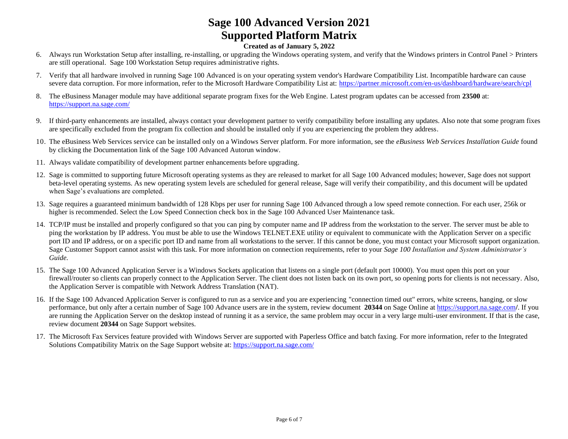- 6. Always run Workstation Setup after installing, re-installing, or upgrading the Windows operating system, and verify that the Windows printers in Control Panel > Printers are still operational. Sage 100 Workstation Setup requires administrative rights.
- 7. Verify that all hardware involved in running Sage 100 Advanced is on your operating system vendor's Hardware Compatibility List. Incompatible hardware can cause severe data corruption. For more information, refer to the Microsoft Hardware Compatibility List at:<https://partner.microsoft.com/en-us/dashboard/hardware/search/cpl>
- 8. The eBusiness Manager module may have additional separate program fixes for the Web Engine. Latest program updates can be accessed from **23500** at: <https://support.na.sage.com/>
- 9. If third-party enhancements are installed, always contact your development partner to verify compatibility before installing any updates. Also note that some program fixes are specifically excluded from the program fix collection and should be installed only if you are experiencing the problem they address.
- 10. The eBusiness Web Services service can be installed only on a Windows Server platform. For more information, see the *eBusiness Web Services Installation Guide* found by clicking the Documentation link of the Sage 100 Advanced Autorun window.
- 11. Always validate compatibility of development partner enhancements before upgrading.
- 12. Sage is committed to supporting future Microsoft operating systems as they are released to market for all Sage 100 Advanced modules; however, Sage does not support beta-level operating systems. As new operating system levels are scheduled for general release, Sage will verify their compatibility, and this document will be updated when Sage's evaluations are completed.
- 13. Sage requires a guaranteed minimum bandwidth of 128 Kbps per user for running Sage 100 Advanced through a low speed remote connection. For each user, 256k or higher is recommended. Select the Low Speed Connection check box in the Sage 100 Advanced User Maintenance task.
- 14. TCP/IP must be installed and properly configured so that you can ping by computer name and IP address from the workstation to the server. The server must be able to ping the workstation by IP address. You must be able to use the Windows TELNET.EXE utility or equivalent to communicate with the Application Server on a specific port ID and IP address, or on a specific port ID and name from all workstations to the server. If this cannot be done, you must contact your Microsoft support organization. Sage Customer Support cannot assist with this task. For more information on connection requirements, refer to your *Sage 100 Installation and System Administrator's Guide.*
- 15. The Sage 100 Advanced Application Server is a Windows Sockets application that listens on a single port (default port 10000). You must open this port on your firewall/router so clients can properly connect to the Application Server. The client does not listen back on its own port, so opening ports for clients is not necessary. Also, the Application Server is compatible with Network Address Translation (NAT).
- 16. If the Sage 100 Advanced Application Server is configured to run as a service and you are experiencing "connection timed out" errors, white screens, hanging, or slow performance, but only after a certain number of Sage 100 Advance users are in the system, review document **20344** on Sage Online at [https://support.na.sage.com](https://support.na.sage.com/)**/**. If you are running the Application Server on the desktop instead of running it as a service, the same problem may occur in a very large multi-user environment. If that is the case, review document **20344** on Sage Support websites.
- 17. The Microsoft Fax Services feature provided with Windows Server are supported with Paperless Office and batch faxing. For more information, refer to the Integrated Solutions Compatibility Matrix on the Sage Support website at:<https://support.na.sage.com/>